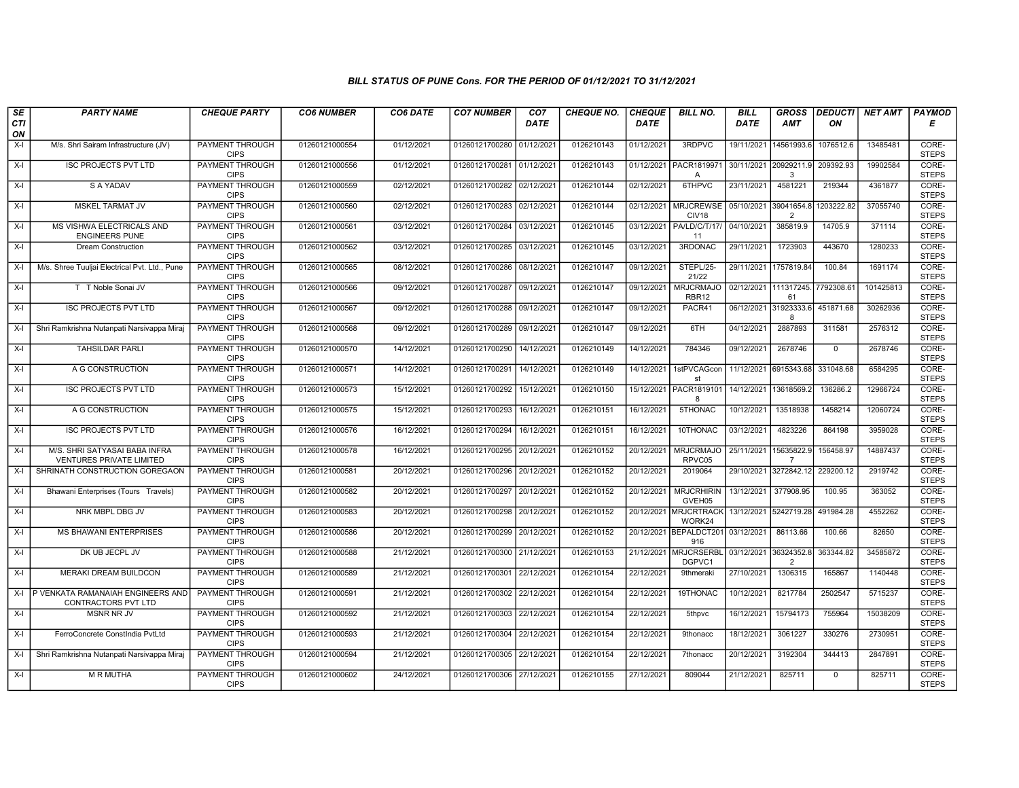## BILL STATUS OF PUNE Cons. FOR THE PERIOD OF 01/12/2021 TO 31/12/2021

| SE        | <b>PARTY NAME</b>                                                | <b>CHEQUE PARTY</b>                   | <b>CO6 NUMBER</b> | CO6 DATE   | <b>CO7 NUMBER</b>         | CO <sub>7</sub> | <b>CHEQUE NO.</b> | <b>CHEQUE</b> | <b>BILL NO.</b>                          | <b>BILL</b>           | <b>GROSS</b>                           |                | DEDUCTI  NET AMT   PAYMOD |                       |
|-----------|------------------------------------------------------------------|---------------------------------------|-------------------|------------|---------------------------|-----------------|-------------------|---------------|------------------------------------------|-----------------------|----------------------------------------|----------------|---------------------------|-----------------------|
| CTI<br>ON |                                                                  |                                       |                   |            |                           | DATE            |                   | <b>DATE</b>   |                                          | DATE                  | <b>AMT</b>                             | ΟN             |                           | Е                     |
| $X-I$     | M/s. Shri Sairam Infrastructure (JV)                             | <b>PAYMENT THROUGH</b><br><b>CIPS</b> | 01260121000554    | 01/12/2021 | 01260121700280 01/12/2021 |                 | 0126210143        | 01/12/2021    | 3RDPVC                                   | 19/11/2021 14561993.6 |                                        | 1076512.6      | 13485481                  | CORE-<br><b>STEPS</b> |
| $X-I$     | <b>ISC PROJECTS PVT LTD</b>                                      | <b>PAYMENT THROUGH</b><br><b>CIPS</b> | 01260121000556    | 01/12/2021 | 01260121700281 01/12/2021 |                 | 0126210143        |               | 01/12/2021 PACR1819971<br>$\overline{A}$ | 30/11/2021 20929211.9 | 3                                      | 209392.93      | 19902584                  | CORE-<br><b>STEPS</b> |
| $X-I$     | S A YADAV                                                        | PAYMENT THROUGH<br><b>CIPS</b>        | 01260121000559    | 02/12/2021 | 01260121700282 02/12/2021 |                 | 0126210144        | 02/12/2021    | 6THPVC                                   | 23/11/2021            | 4581221                                | 219344         | 4361877                   | CORE-<br><b>STEPS</b> |
| X-I       | MSKEL TARMAT JV                                                  | PAYMENT THROUGH<br><b>CIPS</b>        | 01260121000560    | 02/12/2021 | 01260121700283 02/12/2021 |                 | 0126210144        | 02/12/2021    | <b>MRJCREWSE</b><br>CIV <sub>18</sub>    | 05/10/2021 39041654.8 | $\overline{2}$                         | 1203222.82     | 37055740                  | CORE-<br><b>STEPS</b> |
| $X-I$     | MS VISHWA ELECTRICALS AND<br><b>ENGINEERS PUNE</b>               | <b>PAYMENT THROUGH</b><br><b>CIPS</b> | 01260121000561    | 03/12/2021 | 01260121700284 03/12/2021 |                 | 0126210145        | 03/12/2021    | PA/LD/C/T/17/<br>11                      | 04/10/2021            | 385819.9                               | 14705.9        | 371114                    | CORE-<br><b>STEPS</b> |
| $X-I$     | <b>Dream Construction</b>                                        | PAYMENT THROUGH<br><b>CIPS</b>        | 01260121000562    | 03/12/2021 | 01260121700285 03/12/2021 |                 | 0126210145        | 03/12/2021    | 3RDONAC                                  | 29/11/2021            | 1723903                                | 443670         | 1280233                   | CORE-<br><b>STEPS</b> |
| $X-I$     | M/s. Shree Tuuljai Electrical Pvt. Ltd., Pune                    | PAYMENT THROUGH<br><b>CIPS</b>        | 01260121000565    | 08/12/2021 | 01260121700286 08/12/2021 |                 | 0126210147        | 09/12/2021    | STEPL/25-<br>21/22                       | 29/11/2021 1757819.84 |                                        | 100.84         | 1691174                   | CORE-<br><b>STEPS</b> |
| $X-I$     | T T Noble Sonai JV                                               | <b>PAYMENT THROUGH</b><br><b>CIPS</b> | 01260121000566    | 09/12/2021 | 01260121700287            | 09/12/2021      | 0126210147        | 09/12/2021    | <b>MRJCRMAJO</b><br>RBR12                |                       | 02/12/2021 111317245. 7792308.61<br>61 |                | 101425813                 | CORE-<br><b>STEPS</b> |
| $X-I$     | <b>ISC PROJECTS PVT LTD</b>                                      | <b>PAYMENT THROUGH</b><br><b>CIPS</b> | 01260121000567    | 09/12/2021 | 01260121700288 09/12/2021 |                 | 0126210147        | 09/12/2021    | PACR41                                   | 06/12/2021 31923333.6 | 8                                      | 451871.68      | 30262936                  | CORE-<br><b>STEPS</b> |
| $X-I$     | Shri Ramkrishna Nutanpati Narsivappa Miraj                       | <b>PAYMENT THROUGH</b><br><b>CIPS</b> | 01260121000568    | 09/12/2021 | 01260121700289 09/12/2021 |                 | 0126210147        | 09/12/2021    | 6TH                                      | 04/12/2021            | 2887893                                | 311581         | 2576312                   | CORE-<br><b>STEPS</b> |
| $X-I$     | <b>TAHSILDAR PARLI</b>                                           | PAYMENT THROUGH<br><b>CIPS</b>        | 01260121000570    | 14/12/2021 | 01260121700290            | 14/12/2021      | 0126210149        | 14/12/2021    | 784346                                   | 09/12/2021            | 2678746                                | $\Omega$       | 2678746                   | CORE-<br><b>STEPS</b> |
| $X-I$     | A G CONSTRUCTION                                                 | PAYMENT THROUGH<br><b>CIPS</b>        | 01260121000571    | 14/12/2021 | 01260121700291            | 14/12/2021      | 0126210149        | 14/12/2021    | 1stPVCAGcon<br>st                        | 11/12/2021 6915343.68 |                                        | 331048.68      | 6584295                   | CORE-<br><b>STEPS</b> |
| $X-I$     | <b>ISC PROJECTS PVT LTD</b>                                      | <b>PAYMENT THROUGH</b><br><b>CIPS</b> | 01260121000573    | 15/12/2021 | 01260121700292 15/12/2021 |                 | 0126210150        | 15/12/2021    | PACR1819101<br>8                         | 14/12/2021 13618569.2 |                                        | 136286.2       | 12966724                  | CORE-<br><b>STEPS</b> |
| X-I       | A G CONSTRUCTION                                                 | <b>PAYMENT THROUGH</b><br><b>CIPS</b> | 01260121000575    | 15/12/2021 | 01260121700293            | 16/12/2021      | 0126210151        | 16/12/2021    | 5THONAC                                  | 10/12/2021            | 13518938                               | 1458214        | 12060724                  | CORE-<br><b>STEPS</b> |
| $X-I$     | <b>ISC PROJECTS PVT LTD</b>                                      | PAYMENT THROUGH<br><b>CIPS</b>        | 01260121000576    | 16/12/2021 | 01260121700294            | 16/12/2021      | 0126210151        | 16/12/2021    | 10THONAC                                 | 03/12/2021            | 4823226                                | 864198         | 3959028                   | CORE-<br><b>STEPS</b> |
| $X-I$     | M/S. SHRI SATYASAI BABA INFRA<br><b>VENTURES PRIVATE LIMITED</b> | PAYMENT THROUGH<br><b>CIPS</b>        | 01260121000578    | 16/12/2021 | 01260121700295 20/12/2021 |                 | 0126210152        | 20/12/2021    | <b>MRJCRMAJO</b><br>RPVC05               | 25/11/2021 15635822.9 | $\overline{7}$                         | 156458.97      | 14887437                  | CORE-<br><b>STEPS</b> |
| $X-I$     | SHRINATH CONSTRUCTION GOREGAON                                   | <b>PAYMENT THROUGH</b><br><b>CIPS</b> | 01260121000581    | 20/12/2021 | 01260121700296 20/12/2021 |                 | 0126210152        | 20/12/2021    | 2019064                                  |                       | 29/10/2021 3272842.12                  | 229200.12      | 2919742                   | CORE-<br><b>STEPS</b> |
| $X-I$     | Bhawani Enterprises (Tours Travels)                              | <b>PAYMENT THROUGH</b><br><b>CIPS</b> | 01260121000582    | 20/12/2021 | 01260121700297 20/12/2021 |                 | 0126210152        | 20/12/2021    | <b>MRJCRHIRIN</b><br>GVEH05              | 13/12/2021 377908.95  |                                        | 100.95         | 363052                    | CORE-<br><b>STEPS</b> |
| $X-I$     | NRK MBPL DBG JV                                                  | PAYMENT THROUGH<br><b>CIPS</b>        | 01260121000583    | 20/12/2021 | 01260121700298 20/12/2021 |                 | 0126210152        | 20/12/2021    | <b>MRJCRTRACK</b><br>WORK24              | 13/12/2021 5242719.28 |                                        | 491984.28      | 4552262                   | CORE-<br><b>STEPS</b> |
| $X-I$     | <b>MS BHAWANI ENTERPRISES</b>                                    | PAYMENT THROUGH<br><b>CIPS</b>        | 01260121000586    | 20/12/2021 | 01260121700299 20/12/2021 |                 | 0126210152        | 20/12/2021    | BEPALDCT201<br>916                       | 03/12/2021            | 86113.66                               | 100.66         | 82650                     | CORE-<br><b>STEPS</b> |
| X-I       | DK UB JECPL JV                                                   | <b>PAYMENT THROUGH</b><br><b>CIPS</b> | 01260121000588    | 21/12/2021 | 01260121700300 21/12/2021 |                 | 0126210153        | 21/12/2021    | <b>MRJCRSERBL</b><br>DGPVC1              | 03/12/2021 36324352.8 | $\overline{2}$                         | 363344.82      | 34585872                  | CORE-<br><b>STEPS</b> |
| $X-I$     | <b>MERAKI DREAM BUILDCON</b>                                     | <b>PAYMENT THROUGH</b><br><b>CIPS</b> | 01260121000589    | 21/12/2021 | 01260121700301 22/12/2021 |                 | 0126210154        | 22/12/2021    | <b>9thmeraki</b>                         | 27/10/2021            | 1306315                                | 165867         | 1140448                   | CORE-<br><b>STEPS</b> |
|           | X-I P VENKATA RAMANAIAH ENGINEERS AND<br>CONTRACTORS PVT LTD     | PAYMENT THROUGH<br><b>CIPS</b>        | 01260121000591    | 21/12/2021 | 01260121700302            | 22/12/2021      | 0126210154        | 22/12/2021    | 19THONAC                                 | 10/12/2021            | 8217784                                | 2502547        | 5715237                   | CORE-<br><b>STEPS</b> |
| $X-I$     | <b>MSNR NR JV</b>                                                | PAYMENT THROUGH<br><b>CIPS</b>        | 01260121000592    | 21/12/2021 | 01260121700303            | 22/12/2021      | 0126210154        | 22/12/2021    | 5thpvc                                   | 16/12/2021            | 15794173                               | 755964         | 15038209                  | CORE-<br><b>STEPS</b> |
| $X-I$     | FerroConcrete ConstIndia PvtLtd                                  | <b>PAYMENT THROUGH</b><br><b>CIPS</b> | 01260121000593    | 21/12/2021 | 01260121700304 22/12/2021 |                 | 0126210154        | 22/12/2021    | <b>9thonacc</b>                          | 18/12/2021            | 3061227                                | 330276         | 2730951                   | CORE-<br><b>STEPS</b> |
| $X-I$     | Shri Ramkrishna Nutanpati Narsivappa Miraj                       | <b>PAYMENT THROUGH</b><br><b>CIPS</b> | 01260121000594    | 21/12/2021 | 01260121700305 22/12/2021 |                 | 0126210154        | 22/12/2021    | 7thonacc                                 | 20/12/2021            | 3192304                                | 344413         | 2847891                   | CORE-<br><b>STEPS</b> |
| $X-I$     | <b>MRMUTHA</b>                                                   | <b>PAYMENT THROUGH</b><br><b>CIPS</b> | 01260121000602    | 24/12/2021 | 01260121700306 27/12/2021 |                 | 0126210155        | 27/12/2021    | 809044                                   | 21/12/2021            | 825711                                 | $\overline{0}$ | 825711                    | CORE-<br><b>STEPS</b> |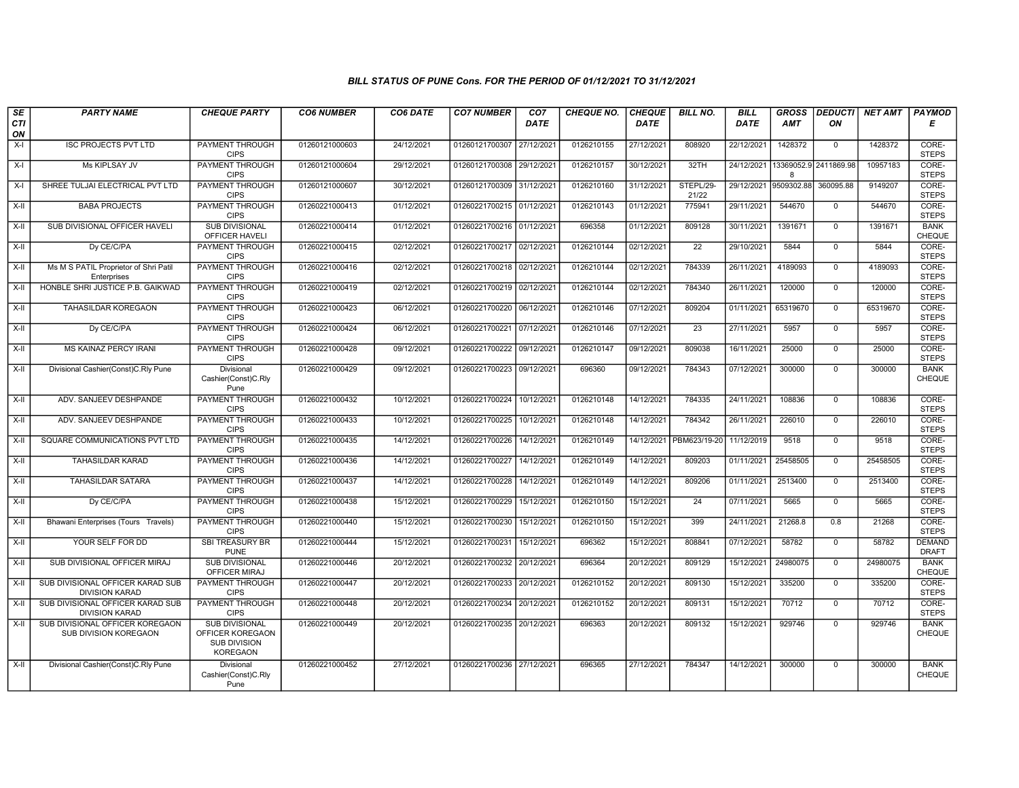## BILL STATUS OF PUNE Cons. FOR THE PERIOD OF 01/12/2021 TO 31/12/2021

| SE        | <b>PARTY NAME</b>                                         | <b>CHEQUE PARTY</b>                                                                 | <b>CO6 NUMBER</b> | CO6 DATE   | <b>CO7 NUMBER</b>         | CO <sub>7</sub> | <b>CHEQUE NO.</b> | <b>CHEQUE</b> | <b>BILL NO.</b>    | <b>BILL</b> | <b>GROSS</b> | <b>DEDUCTI</b>                   | NET AMT  | <b>PAYMOD</b>                 |
|-----------|-----------------------------------------------------------|-------------------------------------------------------------------------------------|-------------------|------------|---------------------------|-----------------|-------------------|---------------|--------------------|-------------|--------------|----------------------------------|----------|-------------------------------|
| CTI<br>ON |                                                           |                                                                                     |                   |            |                           | <b>DATE</b>     |                   | <b>DATE</b>   |                    | DATE        | <b>AMT</b>   | ΟN                               |          | Е                             |
| $X-I$     | <b>ISC PROJECTS PVT LTD</b>                               | <b>PAYMENT THROUGH</b><br><b>CIPS</b>                                               | 01260121000603    | 24/12/2021 | 01260121700307            | 27/12/2021      | 0126210155        | 27/12/2021    | 808920             | 22/12/2021  | 1428372      | $\overline{0}$                   | 1428372  | CORE-<br><b>STEPS</b>         |
| $X-I$     | Ms KIPLSAY JV                                             | <b>PAYMENT THROUGH</b><br><b>CIPS</b>                                               | 01260121000604    | 29/12/2021 | 01260121700308 29/12/2021 |                 | 0126210157        | 30/12/2021    | 32TH               |             | $\mathsf{R}$ | 24/12/2021 13369052.9 2411869.98 | 10957183 | CORE-<br><b>STEPS</b>         |
| $X-I$     | SHREE TULJAI ELECTRICAL PVT LTD                           | PAYMENT THROUGH<br><b>CIPS</b>                                                      | 01260121000607    | 30/12/2021 | 01260121700309 31/12/2021 |                 | 0126210160        | 31/12/2021    | STEPL/29-<br>21/22 | 29/12/2021  | 9509302.88   | 360095.88                        | 9149207  | CORE-<br><b>STEPS</b>         |
| X-II      | <b>BABA PROJECTS</b>                                      | <b>PAYMENT THROUGH</b><br><b>CIPS</b>                                               | 01260221000413    | 01/12/2021 | 01260221700215 01/12/2021 |                 | 0126210143        | 01/12/2021    | 775941             | 29/11/2021  | 544670       | $\mathbf 0$                      | 544670   | CORE-<br><b>STEPS</b>         |
| $X-H$     | SUB DIVISIONAL OFFICER HAVELI                             | <b>SUB DIVISIONAL</b><br>OFFICER HAVELI                                             | 01260221000414    | 01/12/2021 | 01260221700216 01/12/2021 |                 | 696358            | 01/12/2021    | 809128             | 30/11/2021  | 1391671      | $\overline{0}$                   | 1391671  | <b>BANK</b><br>CHEQUE         |
| X-II      | Dy CE/C/PA                                                | <b>PAYMENT THROUGH</b><br><b>CIPS</b>                                               | 01260221000415    | 02/12/2021 | 01260221700217 02/12/2021 |                 | 0126210144        | 02/12/2021    | $\overline{22}$    | 29/10/2021  | 5844         | $\mathbf{0}$                     | 5844     | CORE-<br><b>STEPS</b>         |
| X-II      | Ms M S PATIL Proprietor of Shri Patil<br>Enterprises      | PAYMENT THROUGH<br><b>CIPS</b>                                                      | 01260221000416    | 02/12/2021 | 01260221700218 02/12/2021 |                 | 0126210144        | 02/12/2021    | 784339             | 26/11/2021  | 4189093      | $\mathbf{0}$                     | 4189093  | CORE-<br><b>STEPS</b>         |
| $X-II$    | HONBLE SHRI JUSTICE P.B. GAIKWAD                          | <b>PAYMENT THROUGH</b><br><b>CIPS</b>                                               | 01260221000419    | 02/12/2021 | 01260221700219            | 02/12/2021      | 0126210144        | 02/12/2021    | 784340             | 26/11/2021  | 120000       | $\overline{0}$                   | 120000   | CORE-<br><b>STEPS</b>         |
| X-II      | <b>TAHASILDAR KOREGAON</b>                                | <b>PAYMENT THROUGH</b><br><b>CIPS</b>                                               | 01260221000423    | 06/12/2021 | 01260221700220 06/12/2021 |                 | 0126210146        | 07/12/2021    | 809204             | 01/11/2021  | 65319670     | $\mathbf 0$                      | 65319670 | CORE-<br><b>STEPS</b>         |
| $X-H$     | Dy CE/C/PA                                                | <b>PAYMENT THROUGH</b><br><b>CIPS</b>                                               | 01260221000424    | 06/12/2021 | 01260221700221 07/12/2021 |                 | 0126210146        | 07/12/2021    | 23                 | 27/11/2021  | 5957         | $\overline{0}$                   | 5957     | CORE-<br><b>STEPS</b>         |
| X-II      | MS KAINAZ PERCY IRANI                                     | PAYMENT THROUGH<br><b>CIPS</b>                                                      | 01260221000428    | 09/12/2021 | 01260221700222            | 09/12/2021      | 0126210147        | 09/12/2021    | 809038             | 16/11/2021  | 25000        | $\mathbf 0$                      | 25000    | CORE-<br><b>STEPS</b>         |
| $X-II$    | Divisional Cashier(Const)C.Rly Pune                       | Divisional<br>Cashier(Const)C.Rly<br>Pune                                           | 01260221000429    | 09/12/2021 | 01260221700223 09/12/2021 |                 | 696360            | 09/12/2021    | 784343             | 07/12/2021  | 300000       | $\overline{0}$                   | 300000   | <b>BANK</b><br>CHEQUE         |
| X-II      | ADV. SANJEEV DESHPANDE                                    | PAYMENT THROUGH<br><b>CIPS</b>                                                      | 01260221000432    | 10/12/2021 | 01260221700224            | 10/12/2021      | 0126210148        | 14/12/2021    | 784335             | 24/11/2021  | 108836       | $\mathbf{0}$                     | 108836   | CORE-<br><b>STEPS</b>         |
| X-II      | ADV. SANJEEV DESHPANDE                                    | PAYMENT THROUGH<br><b>CIPS</b>                                                      | 01260221000433    | 10/12/2021 | 01260221700225            | 10/12/2021      | 0126210148        | 14/12/2021    | 784342             | 26/11/2021  | 226010       | $\mathbf{0}$                     | 226010   | CORE-<br><b>STEPS</b>         |
| $X-II$    | SQUARE COMMUNICATIONS PVT LTD                             | <b>PAYMENT THROUGH</b><br><b>CIPS</b>                                               | 01260221000435    | 14/12/2021 | 01260221700226            | 14/12/2021      | 0126210149        | 14/12/2021    | PBM623/19-20       | 11/12/2019  | 9518         | $\mathbf 0$                      | 9518     | CORE-<br><b>STEPS</b>         |
| $X-H$     | <b>TAHASILDAR KARAD</b>                                   | <b>PAYMENT THROUGH</b><br><b>CIPS</b>                                               | 01260221000436    | 14/12/2021 | 01260221700227            | 14/12/2021      | 0126210149        | 14/12/2021    | 809203             | 01/11/2021  | 25458505     | $\overline{0}$                   | 25458505 | CORE-<br><b>STEPS</b>         |
| X-II      | <b>TAHASILDAR SATARA</b>                                  | PAYMENT THROUGH<br><b>CIPS</b>                                                      | 01260221000437    | 14/12/2021 | 01260221700228            | 14/12/2021      | 0126210149        | 14/12/2021    | 809206             | 01/11/2021  | 2513400      | $\mathbf 0$                      | 2513400  | CORE-<br><b>STEPS</b>         |
| $X-II$    | Dy CE/C/PA                                                | PAYMENT THROUGH<br><b>CIPS</b>                                                      | 01260221000438    | 15/12/2021 | 01260221700229            | 15/12/2021      | 0126210150        | 15/12/2021    | 24                 | 07/11/2021  | 5665         | $\overline{0}$                   | 5665     | CORE-<br><b>STEPS</b>         |
| X-II      | Bhawani Enterprises (Tours Travels)                       | <b>PAYMENT THROUGH</b><br><b>CIPS</b>                                               | 01260221000440    | 15/12/2021 | 01260221700230            | 15/12/2021      | 0126210150        | 15/12/2021    | 399                | 24/11/2021  | 21268.8      | 0.8                              | 21268    | CORE-<br><b>STEPS</b>         |
| $X-H$     | YOUR SELF FOR DD                                          | <b>SBI TREASURY BR</b><br><b>PUNE</b>                                               | 01260221000444    | 15/12/2021 | 01260221700231            | 15/12/2021      | 696362            | 15/12/2021    | 808841             | 07/12/2021  | 58782        | $\overline{0}$                   | 58782    | <b>DEMAND</b><br><b>DRAFT</b> |
| $X-H$     | SUB DIVISIONAL OFFICER MIRAJ                              | <b>SUB DIVISIONAL</b><br>OFFICER MIRAJ                                              | 01260221000446    | 20/12/2021 | 01260221700232 20/12/2021 |                 | 696364            | 20/12/2021    | 809129             | 15/12/2021  | 24980075     | $\mathbf{0}$                     | 24980075 | <b>BANK</b><br><b>CHEQUE</b>  |
| $X-II$    | SUB DIVISIONAL OFFICER KARAD SUB<br><b>DIVISION KARAD</b> | PAYMENT THROUGH<br><b>CIPS</b>                                                      | 01260221000447    | 20/12/2021 | 01260221700233            | 20/12/2021      | 0126210152        | 20/12/2021    | 809130             | 15/12/2021  | 335200       | $\mathbf 0$                      | 335200   | CORE-<br><b>STEPS</b>         |
| $X-II$    | SUB DIVISIONAL OFFICER KARAD SUB<br><b>DIVISION KARAD</b> | <b>PAYMENT THROUGH</b><br><b>CIPS</b>                                               | 01260221000448    | 20/12/2021 | 01260221700234            | 20/12/2021      | 0126210152        | 20/12/2021    | 809131             | 15/12/2021  | 70712        | $\overline{0}$                   | 70712    | CORE-<br><b>STEPS</b>         |
| $X-II$    | SUB DIVISIONAL OFFICER KOREGAON<br>SUB DIVISION KOREGAON  | <b>SUB DIVISIONAL</b><br>OFFICER KOREGAON<br><b>SUB DIVISION</b><br><b>KOREGAON</b> | 01260221000449    | 20/12/2021 | 01260221700235            | 20/12/2021      | 696363            | 20/12/2021    | 809132             | 15/12/2021  | 929746       | $\mathbf{0}$                     | 929746   | <b>BANK</b><br>CHEQUE         |
| $X-II$    | Divisional Cashier(Const)C.Rly Pune                       | Divisional<br>Cashier(Const)C.Rly<br>Pune                                           | 01260221000452    | 27/12/2021 | 01260221700236 27/12/2021 |                 | 696365            | 27/12/2021    | 784347             | 14/12/2021  | 300000       | $\Omega$                         | 300000   | <b>BANK</b><br><b>CHEQUE</b>  |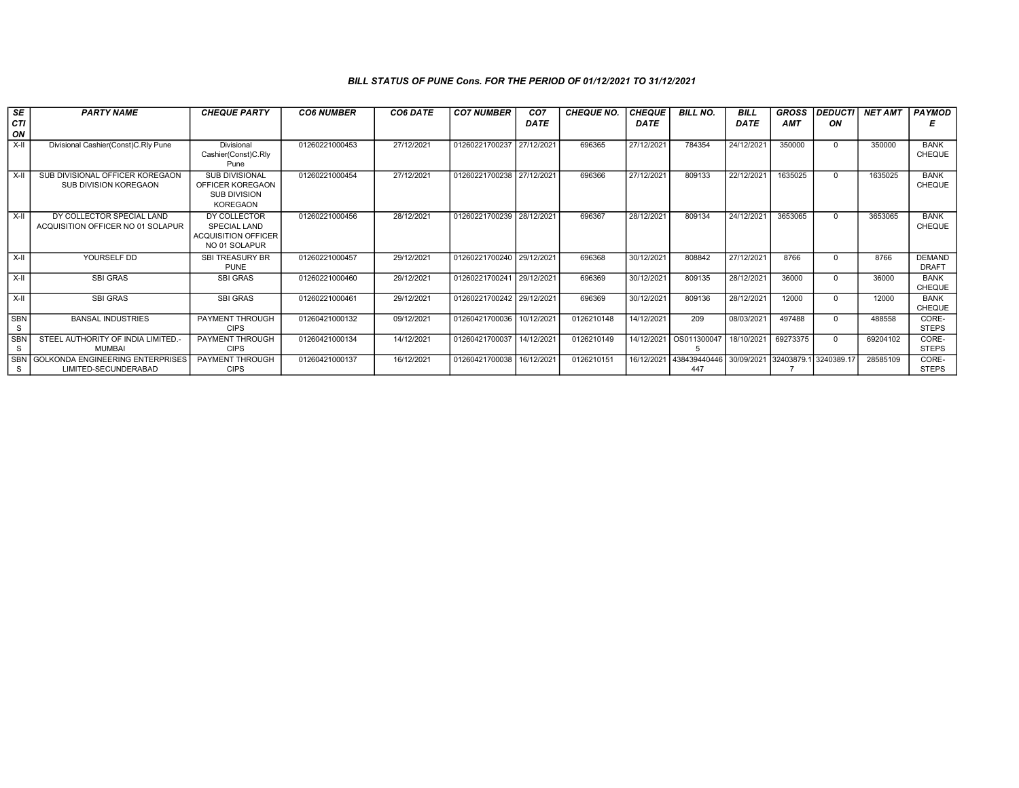## BILL STATUS OF PUNE Cons. FOR THE PERIOD OF 01/12/2021 TO 31/12/2021

| $s_E$                       | <b>PARTY NAME</b>                                              | <b>CHEQUE PARTY</b>                                                                 | <b>CO6 NUMBER</b> | CO6 DATE   | <b>CO7 NUMBER</b>         | CO <sub>7</sub> | <b>CHEQUE NO.</b> | <b>CHEQUE</b> | <b>BILL NO.</b>     | <b>BILL</b> | <b>GROSS</b> | <b>DEDUCTI</b> | <b>NET AMT</b> | <b>PAYMOD</b>                 |
|-----------------------------|----------------------------------------------------------------|-------------------------------------------------------------------------------------|-------------------|------------|---------------------------|-----------------|-------------------|---------------|---------------------|-------------|--------------|----------------|----------------|-------------------------------|
| CTI<br>ON                   |                                                                |                                                                                     |                   |            |                           | <b>DATE</b>     |                   | <b>DATE</b>   |                     | <b>DATE</b> | <b>AMT</b>   | ON             |                |                               |
| $X-II$                      | Divisional Cashier(Const)C.Rly Pune                            | Divisional<br>Cashier(Const)C.Rly<br>Pune                                           | 01260221000453    | 27/12/2021 | 01260221700237            | 27/12/2021      | 696365            | 27/12/2021    | 784354              | 24/12/2021  | 350000       | $\Omega$       | 350000         | <b>BANK</b><br><b>CHEQUE</b>  |
| X-II                        | SUB DIVISIONAL OFFICER KOREGAON<br>SUB DIVISION KOREGAON       | <b>SUB DIVISIONAL</b><br>OFFICER KOREGAON<br><b>SUB DIVISION</b><br><b>KOREGAON</b> | 01260221000454    | 27/12/2021 | 01260221700238 27/12/2021 |                 | 696366            | 27/12/2021    | 809133              | 22/12/2021  | 1635025      | $\Omega$       | 1635025        | <b>BANK</b><br><b>CHEQUE</b>  |
| X-II                        | DY COLLECTOR SPECIAL LAND<br>ACQUISITION OFFICER NO 01 SOLAPUR | DY COLLECTOR<br>SPECIAL LAND<br><b>ACQUISITION OFFICER</b><br>NO 01 SOLAPUR         | 01260221000456    | 28/12/2021 | 01260221700239            | 28/12/2021      | 696367            | 28/12/2021    | 809134              | 24/12/2021  | 3653065      | $\Omega$       | 3653065        | <b>BANK</b><br><b>CHEQUE</b>  |
| $\overline{\mathsf{x}}$ -II | YOURSELF DD                                                    | SBI TREASURY BR<br><b>PUNE</b>                                                      | 01260221000457    | 29/12/2021 | 01260221700240 29/12/2021 |                 | 696368            | 30/12/2021    | 808842              | 27/12/2021  | 8766         |                | 8766           | <b>DEMAND</b><br><b>DRAFT</b> |
| X-II                        | <b>SBI GRAS</b>                                                | <b>SBI GRAS</b>                                                                     | 01260221000460    | 29/12/2021 | 01260221700241 29/12/2021 |                 | 696369            | 30/12/2021    | 809135              | 28/12/2021  | 36000        | $\Omega$       | 36000          | <b>BANK</b><br><b>CHEQUE</b>  |
| X-II                        | <b>SBI GRAS</b>                                                | <b>SBI GRAS</b>                                                                     | 01260221000461    | 29/12/2021 | 01260221700242 29/12/2021 |                 | 696369            | 30/12/2021    | 809136              | 28/12/2021  | 12000        | $\Omega$       | 12000          | <b>BANK</b><br><b>CHEQUE</b>  |
| <b>SBN</b><br>S             | <b>BANSAL INDUSTRIES</b>                                       | <b>PAYMENT THROUGH</b><br><b>CIPS</b>                                               | 01260421000132    | 09/12/2021 | 01260421700036            | 10/12/2021      | 0126210148        | 14/12/2021    | 209                 | 08/03/2021  | 497488       |                | 488558         | CORE-<br><b>STEPS</b>         |
| <b>SBN</b><br>S             | STEEL AUTHORITY OF INDIA LIMITED.-<br><b>MUMBAI</b>            | PAYMENT THROUGH<br><b>CIPS</b>                                                      | 01260421000134    | 14/12/2021 | 01260421700037            | 14/12/2021      | 0126210149        | 14/12/2021    | OS011300047         | 18/10/2021  | 69273375     | $\Omega$       | 69204102       | CORE-<br><b>STEPS</b>         |
| S                           | SBN GOLKONDA ENGINEERING ENTERPRISES<br>LIMITED-SECUNDERABAD   | PAYMENT THROUGH<br><b>CIPS</b>                                                      | 01260421000137    | 16/12/2021 | 01260421700038            | 16/12/2021      | 0126210151        | 16/12/2021    | 438439440446<br>447 | 30/09/2021  | 32403879.    | 3240389.17     | 28585109       | CORE-<br><b>STEPS</b>         |